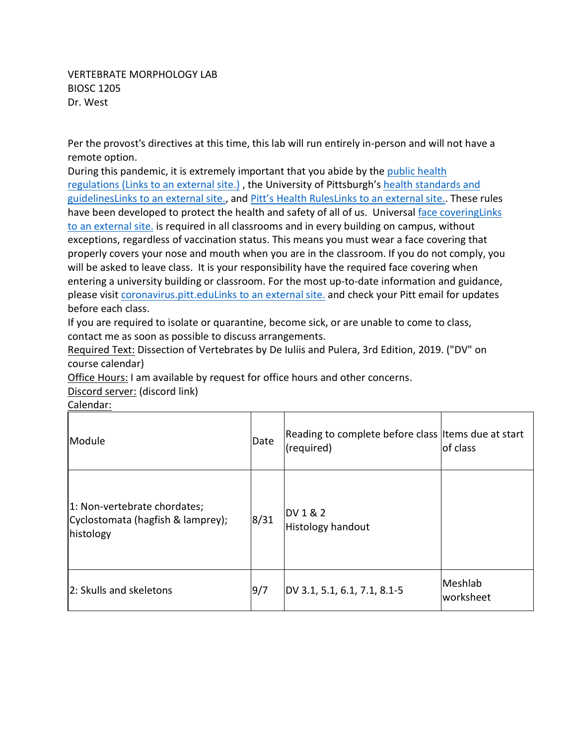VERTEBRATE MORPHOLOGY LAB BIOSC 1205 Dr. West

Per the provost's directives at this time, this lab will run entirely in-person and will not have a remote option.

During this pandemic, it is extremely important that you abide by the [public health](https://www.alleghenycounty.us/Health-Department/Resources/COVID-19/COVID-19.aspx)  regulations [\(Links to an external site.\)](https://www.alleghenycounty.us/Health-Department/Resources/COVID-19/COVID-19.aspx) , the University of Pittsburgh's [health standards and](https://www.policy.pitt.edu/university-policies-and-procedures/covid-19-standards-and-guidelines)  [guidelinesLinks to an external site.,](https://www.policy.pitt.edu/university-policies-and-procedures/covid-19-standards-and-guidelines) and [Pitt's Health RulesLinks to an](https://www.coronavirus.pitt.edu/healthy-community/pitts-health-rules) external site.. These rules have been developed to protect the health and safety of all of us. Universal [face coveringLinks](https://www.coronavirus.pitt.edu/frequently-asked-questions-about-face-coverings)  [to an external site.](https://www.coronavirus.pitt.edu/frequently-asked-questions-about-face-coverings) is required in all classrooms and in every building on campus, without exceptions, regardless of vaccination status. This means you must wear a face covering that properly covers your nose and mouth when you are in the classroom. If you do not comply, you will be asked to leave class. It is your responsibility have the required face covering when entering a university building or classroom. For the most up-to-date information and guidance, please visit [coronavirus.pitt.eduLinks to an external site.](http://coronavirus.pitt.edu/) and check your Pitt email for updates before each class.

If you are required to isolate or quarantine, become sick, or are unable to come to class, contact me as soon as possible to discuss arrangements.

Required Text: Dissection of Vertebrates by De Iuliis and Pulera, 3rd Edition, 2019. ("DV" on course calendar)

Office Hours: I am available by request for office hours and other concerns.

Discord server: (discord link)

| Module                                                                         | Date | Reading to complete before class litems due at start<br>(required) | of class             |
|--------------------------------------------------------------------------------|------|--------------------------------------------------------------------|----------------------|
| 1: Non-vertebrate chordates;<br>Cyclostomata (hagfish & lamprey);<br>histology | 8/31 | DV 1 & 2<br><b>Histology handout</b>                               |                      |
| 2: Skulls and skeletons                                                        | 9/7  | DV 3.1, 5.1, 6.1, 7.1, 8.1-5                                       | Meshlab<br>worksheet |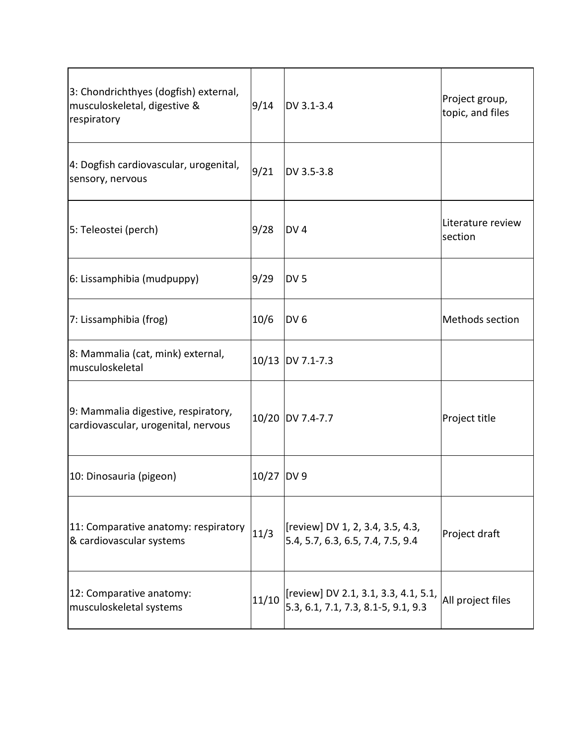| 3: Chondrichthyes (dogfish) external,<br>musculoskeletal, digestive &<br>respiratory | 9/14       | DV 3.1-3.4                                                                  | Project group,<br>topic, and files |
|--------------------------------------------------------------------------------------|------------|-----------------------------------------------------------------------------|------------------------------------|
| 4: Dogfish cardiovascular, urogenital,<br>sensory, nervous                           | 9/21       | DV 3.5-3.8                                                                  |                                    |
| 5: Teleostei (perch)                                                                 | 9/28       | DV <sub>4</sub>                                                             | Literature review<br>section       |
| 6: Lissamphibia (mudpuppy)                                                           | 9/29       | DV <sub>5</sub>                                                             |                                    |
| 7: Lissamphibia (frog)                                                               | 10/6       | DV 6                                                                        | Methods section                    |
| 8: Mammalia (cat, mink) external,<br>musculoskeletal                                 | 10/13      | DV 7.1-7.3                                                                  |                                    |
| 9: Mammalia digestive, respiratory,<br>cardiovascular, urogenital, nervous           |            | 10/20 DV 7.4-7.7                                                            | Project title                      |
| 10: Dinosauria (pigeon)                                                              | 10/27 DV 9 |                                                                             |                                    |
| 11: Comparative anatomy: respiratory<br>& cardiovascular systems                     | 11/3       | [review] DV 1, 2, 3.4, 3.5, 4.3,<br>5.4, 5.7, 6.3, 6.5, 7.4, 7.5, 9.4       | Project draft                      |
| 12: Comparative anatomy:<br>musculoskeletal systems                                  | 11/10      | [review] DV 2.1, 3.1, 3.3, 4.1, 5.1,<br>5.3, 6.1, 7.1, 7.3, 8.1-5, 9.1, 9.3 | All project files                  |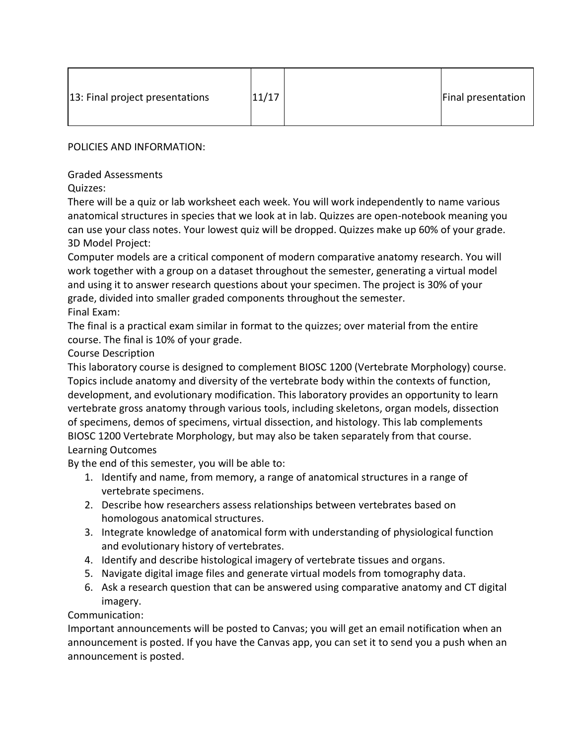| 13: Final project presentations | 11/17 |  | Final presentation |
|---------------------------------|-------|--|--------------------|
|---------------------------------|-------|--|--------------------|

POLICIES AND INFORMATION:

Graded Assessments

Quizzes:

There will be a quiz or lab worksheet each week. You will work independently to name various anatomical structures in species that we look at in lab. Quizzes are open-notebook meaning you can use your class notes. Your lowest quiz will be dropped. Quizzes make up 60% of your grade. 3D Model Project:

Computer models are a critical component of modern comparative anatomy research. You will work together with a group on a dataset throughout the semester, generating a virtual model and using it to answer research questions about your specimen. The project is 30% of your grade, divided into smaller graded components throughout the semester. Final Exam:

The final is a practical exam similar in format to the quizzes; over material from the entire course. The final is 10% of your grade.

## Course Description

This laboratory course is designed to complement BIOSC 1200 (Vertebrate Morphology) course. Topics include anatomy and diversity of the vertebrate body within the contexts of function, development, and evolutionary modification. This laboratory provides an opportunity to learn vertebrate gross anatomy through various tools, including skeletons, organ models, dissection of specimens, demos of specimens, virtual dissection, and histology. This lab complements BIOSC 1200 Vertebrate Morphology, but may also be taken separately from that course. Learning Outcomes

By the end of this semester, you will be able to:

- 1. Identify and name, from memory, a range of anatomical structures in a range of vertebrate specimens.
- 2. Describe how researchers assess relationships between vertebrates based on homologous anatomical structures.
- 3. Integrate knowledge of anatomical form with understanding of physiological function and evolutionary history of vertebrates.
- 4. Identify and describe histological imagery of vertebrate tissues and organs.
- 5. Navigate digital image files and generate virtual models from tomography data.
- 6. Ask a research question that can be answered using comparative anatomy and CT digital imagery.

## Communication:

Important announcements will be posted to Canvas; you will get an email notification when an announcement is posted. If you have the Canvas app, you can set it to send you a push when an announcement is posted.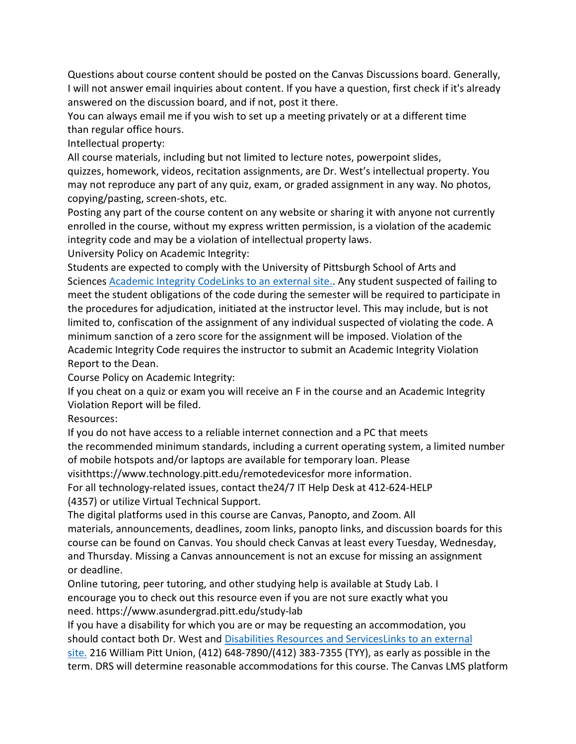Questions about course content should be posted on the Canvas Discussions board. Generally, I will not answer email inquiries about content. If you have a question, first check if it's already answered on the discussion board, and if not, post it there.

You can always email me if you wish to set up a meeting privately or at a different time than regular office hours.

Intellectual property:

All course materials, including but not limited to lecture notes, powerpoint slides,

quizzes, homework, videos, recitation assignments, are Dr. West's intellectual property. You may not reproduce any part of any quiz, exam, or graded assignment in any way. No photos, copying/pasting, screen-shots, etc.

Posting any part of the course content on any website or sharing it with anyone not currently enrolled in the course, without my express written permission, is a violation of the academic integrity code and may be a violation of intellectual property laws.

University Policy on Academic Integrity:

Students are expected to comply with the University of Pittsburgh School of Arts and Sciences [Academic Integrity CodeLinks to an external site..](https://www.as.pitt.edu/faculty/policies-and-procedures/academic-integrity-code) Any student suspected of failing to meet the student obligations of the code during the semester will be required to participate in the procedures for adjudication, initiated at the instructor level. This may include, but is not limited to, confiscation of the assignment of any individual suspected of violating the code. A minimum sanction of a zero score for the assignment will be imposed. Violation of the Academic Integrity Code requires the instructor to submit an Academic Integrity Violation Report to the Dean.

Course Policy on Academic Integrity:

If you cheat on a quiz or exam you will receive an F in the course and an Academic Integrity Violation Report will be filed.

Resources:

If you do not have access to a reliable internet connection and a PC that meets the recommended minimum standards, including a current operating system, a limited number of mobile hotspots and/or laptops are available for temporary loan. Please

visithttps://www.technology.pitt.edu/remotedevicesfor more information.

For all technology-related issues, contact the24/7 IT Help Desk at 412-624-HELP

(4357) or utilize Virtual Technical Support.

The digital platforms used in this course are Canvas, Panopto, and Zoom. All materials, announcements, deadlines, zoom links, panopto links, and discussion boards for this course can be found on Canvas. You should check Canvas at least every Tuesday, Wednesday, and Thursday. Missing a Canvas announcement is not an excuse for missing an assignment or deadline.

Online tutoring, peer tutoring, and other studying help is available at Study Lab. I encourage you to check out this resource even if you are not sure exactly what you need. https://www.asundergrad.pitt.edu/study-lab

If you have a disability for which you are or may be requesting an accommodation, you should contact both Dr. West and [Disabilities Resources and ServicesLinks to an external](https://www.diversity.pitt.edu/disability-access/disability-resources-and-services)  [site.](https://www.diversity.pitt.edu/disability-access/disability-resources-and-services) 216 William Pitt Union, (412) 648-7890/(412) 383-7355 (TYY), as early as possible in the term. DRS will determine reasonable accommodations for this course. The Canvas LMS platform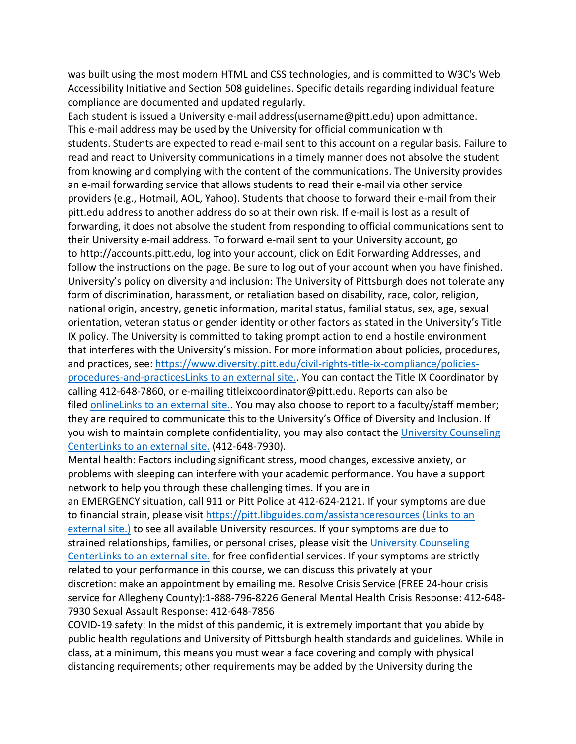was built using the most modern HTML and CSS technologies, and is committed to W3C's Web Accessibility Initiative and Section 508 guidelines. Specific details regarding individual feature compliance are documented and updated regularly.

Each student is issued a University e-mail address(username@pitt.edu) upon admittance. This e-mail address may be used by the University for official communication with students. Students are expected to read e-mail sent to this account on a regular basis. Failure to read and react to University communications in a timely manner does not absolve the student from knowing and complying with the content of the communications. The University provides an e-mail forwarding service that allows students to read their e-mail via other service providers (e.g., Hotmail, AOL, Yahoo). Students that choose to forward their e-mail from their pitt.edu address to another address do so at their own risk. If e-mail is lost as a result of forwarding, it does not absolve the student from responding to official communications sent to their University e-mail address. To forward e-mail sent to your University account, go to http://accounts.pitt.edu, log into your account, click on Edit Forwarding Addresses, and follow the instructions on the page. Be sure to log out of your account when you have finished. University's policy on diversity and inclusion: The University of Pittsburgh does not tolerate any form of discrimination, harassment, or retaliation based on disability, race, color, religion, national origin, ancestry, genetic information, marital status, familial status, sex, age, sexual orientation, veteran status or gender identity or other factors as stated in the University's Title IX policy. The University is committed to taking prompt action to end a hostile environment that interferes with the University's mission. For more information about policies, procedures, and practices, see: [https://www.diversity.pitt.edu/civil-rights-title-ix-compliance/policies](https://www.diversity.pitt.edu/civil-rights-title-ix-compliance/policies-procedures-and-practices)[procedures-and-practicesLinks to an external site..](https://www.diversity.pitt.edu/civil-rights-title-ix-compliance/policies-procedures-and-practices) You can contact the Title IX Coordinator by calling 412-648-7860, or e-mailing titleixcoordinator@pitt.edu. Reports can also be filed [onlineLinks to an external site..](https://www.diversity.pitt.edu/make-report/report-form) You may also choose to report to a faculty/staff member; they are required to communicate this to the University's Office of Diversity and Inclusion. If you wish to maintain complete confidentiality, you may also contact the University Counseling [CenterLinks to an external site.](https://www.studentaffairs.pitt.edu/cc/) (412-648-7930).

Mental health: Factors including significant stress, mood changes, excessive anxiety, or problems with sleeping can interfere with your academic performance. You have a support network to help you through these challenging times. If you are in an EMERGENCY situation, call 911 or Pitt Police at 412-624-2121. If your symptoms are due to financial strain, please visit <https://pitt.libguides.com/assistanceresources> (Links to an [external site.\)](https://pitt.libguides.com/assistanceresources) to see all available University resources. If your symptoms are due to strained relationships, families, or personal crises, please visit the [University Counseling](https://www.studentaffairs.pitt.edu/cc/)  [CenterLinks to an external site.](https://www.studentaffairs.pitt.edu/cc/) for free confidential services. If your symptoms are strictly related to your performance in this course, we can discuss this privately at your discretion: make an appointment by emailing me. Resolve Crisis Service (FREE 24-hour crisis service for Allegheny County):1-888-796-8226 General Mental Health Crisis Response: 412-648- 7930 Sexual Assault Response: 412-648-7856

COVID-19 safety: In the midst of this pandemic, it is extremely important that you abide by public health regulations and University of Pittsburgh health standards and guidelines. While in class, at a minimum, this means you must wear a face covering and comply with physical distancing requirements; other requirements may be added by the University during the